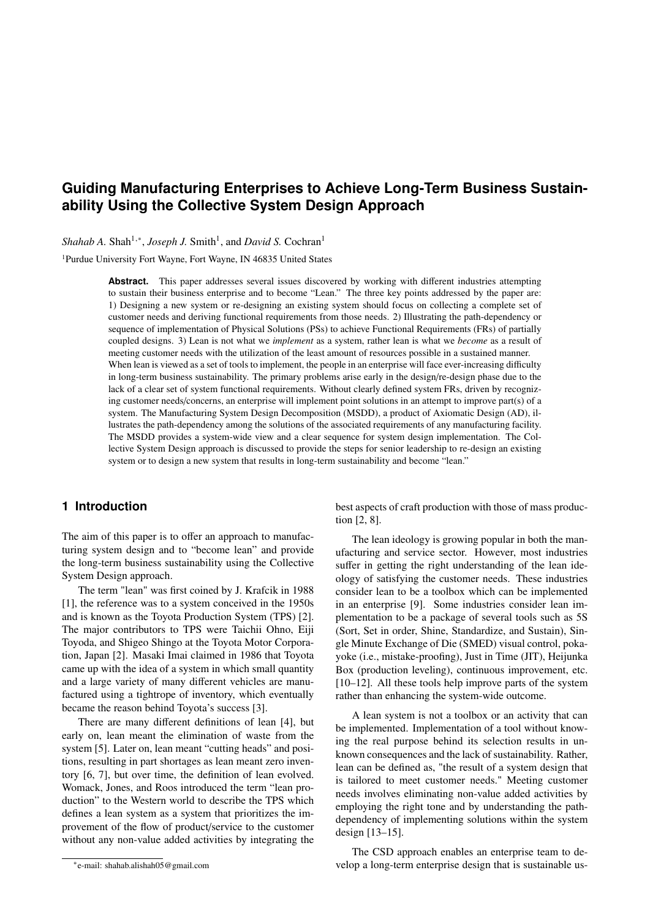# **Guiding Manufacturing Enterprises to Achieve Long-Term Business Sustainability Using the Collective System Design Approach**

*Shahab A.* Shah<sup>1,\*</sup>, *Joseph J.* Smith<sup>1</sup>, and *David S.* Cochran<sup>1</sup>

1Purdue University Fort Wayne, Fort Wayne, IN 46835 United States

Abstract. This paper addresses several issues discovered by working with different industries attempting to sustain their business enterprise and to become "Lean." The three key points addressed by the paper are: 1) Designing a new system or re-designing an existing system should focus on collecting a complete set of customer needs and deriving functional requirements from those needs. 2) Illustrating the path-dependency or sequence of implementation of Physical Solutions (PSs) to achieve Functional Requirements (FRs) of partially coupled designs. 3) Lean is not what we *implement* as a system, rather lean is what we *become* as a result of meeting customer needs with the utilization of the least amount of resources possible in a sustained manner. When lean is viewed as a set of tools to implement, the people in an enterprise will face ever-increasing difficulty in long-term business sustainability. The primary problems arise early in the design/re-design phase due to the lack of a clear set of system functional requirements. Without clearly defined system FRs, driven by recognizing customer needs/concerns, an enterprise will implement point solutions in an attempt to improve part(s) of a system. The Manufacturing System Design Decomposition (MSDD), a product of Axiomatic Design (AD), illustrates the path-dependency among the solutions of the associated requirements of any manufacturing facility. The MSDD provides a system-wide view and a clear sequence for system design implementation. The Collective System Design approach is discussed to provide the steps for senior leadership to re-design an existing system or to design a new system that results in long-term sustainability and become "lean."

# **1 Introduction**

The aim of this paper is to offer an approach to manufacturing system design and to "become lean" and provide the long-term business sustainability using the Collective System Design approach.

The term "lean" was first coined by J. Krafcik in 1988 [1], the reference was to a system conceived in the 1950s and is known as the Toyota Production System (TPS) [2]. The major contributors to TPS were Taichii Ohno, Eiji Toyoda, and Shigeo Shingo at the Toyota Motor Corporation, Japan [2]. Masaki Imai claimed in 1986 that Toyota came up with the idea of a system in which small quantity and a large variety of many different vehicles are manufactured using a tightrope of inventory, which eventually became the reason behind Toyota's success [3].

There are many different definitions of lean [4], but early on, lean meant the elimination of waste from the system [5]. Later on, lean meant "cutting heads" and positions, resulting in part shortages as lean meant zero inventory [6, 7], but over time, the definition of lean evolved. Womack, Jones, and Roos introduced the term "lean production" to the Western world to describe the TPS which defines a lean system as a system that prioritizes the improvement of the flow of product/service to the customer without any non-value added activities by integrating the

best aspects of craft production with those of mass production [2, 8].

The lean ideology is growing popular in both the manufacturing and service sector. However, most industries suffer in getting the right understanding of the lean ideology of satisfying the customer needs. These industries consider lean to be a toolbox which can be implemented in an enterprise [9]. Some industries consider lean implementation to be a package of several tools such as 5S (Sort, Set in order, Shine, Standardize, and Sustain), Single Minute Exchange of Die (SMED) visual control, pokayoke (i.e., mistake-proofing), Just in Time (JIT), Heijunka Box (production leveling), continuous improvement, etc. [10–12]. All these tools help improve parts of the system rather than enhancing the system-wide outcome.

A lean system is not a toolbox or an activity that can be implemented. Implementation of a tool without knowing the real purpose behind its selection results in unknown consequences and the lack of sustainability. Rather, lean can be defined as, "the result of a system design that is tailored to meet customer needs." Meeting customer needs involves eliminating non-value added activities by employing the right tone and by understanding the pathdependency of implementing solutions within the system design [13–15].

The CSD approach enables an enterprise team to develop a long-term enterprise design that is sustainable us-

<sup>⇤</sup>e-mail: shahab.alishah05@gmail.com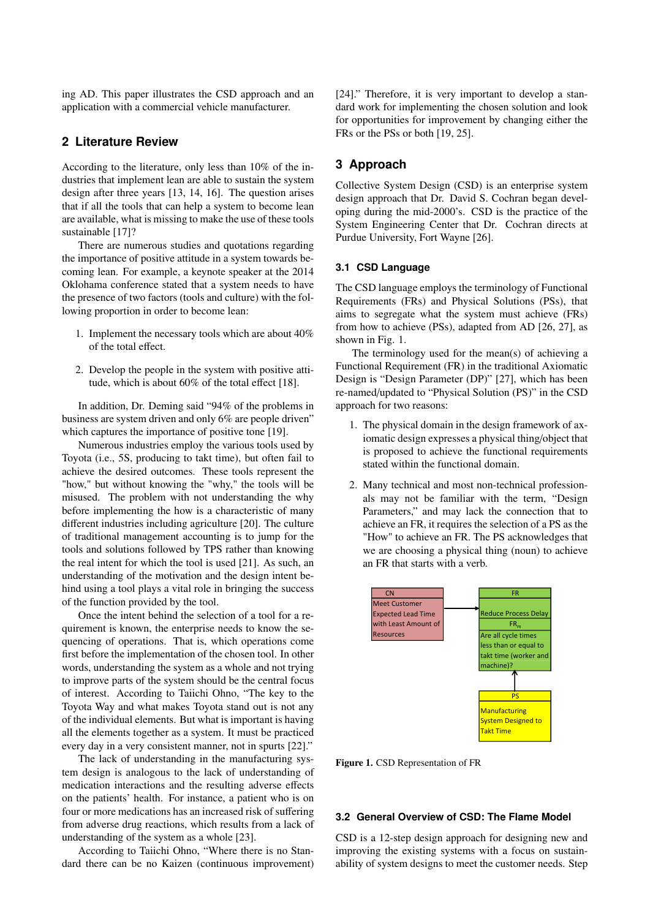ing AD. This paper illustrates the CSD approach and an application with a commercial vehicle manufacturer.

# **2 Literature Review**

According to the literature, only less than 10% of the industries that implement lean are able to sustain the system design after three years [13, 14, 16]. The question arises that if all the tools that can help a system to become lean are available, what is missing to make the use of these tools sustainable [17]?

There are numerous studies and quotations regarding the importance of positive attitude in a system towards becoming lean. For example, a keynote speaker at the 2014 Oklohama conference stated that a system needs to have the presence of two factors (tools and culture) with the following proportion in order to become lean:

- 1. Implement the necessary tools which are about 40% of the total effect.
- 2. Develop the people in the system with positive attitude, which is about  $60\%$  of the total effect [18].

In addition, Dr. Deming said "94% of the problems in business are system driven and only 6% are people driven" which captures the importance of positive tone [19].

Numerous industries employ the various tools used by Toyota (i.e., 5S, producing to takt time), but often fail to achieve the desired outcomes. These tools represent the "how," but without knowing the "why," the tools will be misused. The problem with not understanding the why before implementing the how is a characteristic of many different industries including agriculture  $[20]$ . The culture of traditional management accounting is to jump for the tools and solutions followed by TPS rather than knowing the real intent for which the tool is used [21]. As such, an understanding of the motivation and the design intent behind using a tool plays a vital role in bringing the success of the function provided by the tool.

Once the intent behind the selection of a tool for a requirement is known, the enterprise needs to know the sequencing of operations. That is, which operations come first before the implementation of the chosen tool. In other words, understanding the system as a whole and not trying to improve parts of the system should be the central focus of interest. According to Taiichi Ohno, "The key to the Toyota Way and what makes Toyota stand out is not any of the individual elements. But what is important is having all the elements together as a system. It must be practiced every day in a very consistent manner, not in spurts [22]."

The lack of understanding in the manufacturing system design is analogous to the lack of understanding of medication interactions and the resulting adverse effects on the patients' health. For instance, a patient who is on four or more medications has an increased risk of suffering from adverse drug reactions, which results from a lack of understanding of the system as a whole [23].

According to Taiichi Ohno, "Where there is no Standard there can be no Kaizen (continuous improvement)

[24]." Therefore, it is very important to develop a standard work for implementing the chosen solution and look for opportunities for improvement by changing either the FRs or the PSs or both [19, 25].

# **3 Approach**

Collective System Design (CSD) is an enterprise system design approach that Dr. David S. Cochran began developing during the mid-2000's. CSD is the practice of the System Engineering Center that Dr. Cochran directs at Purdue University, Fort Wayne [26].

# **3.1 CSD Language**

The CSD language employs the terminology of Functional Requirements (FRs) and Physical Solutions (PSs), that aims to segregate what the system must achieve (FRs) from how to achieve (PSs), adapted from AD [26, 27], as shown in Fig. 1.

The terminology used for the mean(s) of achieving a Functional Requirement (FR) in the traditional Axiomatic Design is "Design Parameter (DP)" [27], which has been re-named/updated to "Physical Solution (PS)" in the CSD approach for two reasons:

- 1. The physical domain in the design framework of axiomatic design expresses a physical thing/object that is proposed to achieve the functional requirements stated within the functional domain.
- 2. Many technical and most non-technical professionals may not be familiar with the term, "Design Parameters," and may lack the connection that to achieve an FR, it requires the selection of a PS as the "How" to achieve an FR. The PS acknowledges that we are choosing a physical thing (noun) to achieve an FR that starts with a verb.



Figure 1. CSD Representation of FR

### **3.2 General Overview of CSD: The Flame Model**

CSD is a 12-step design approach for designing new and improving the existing systems with a focus on sustainability of system designs to meet the customer needs. Step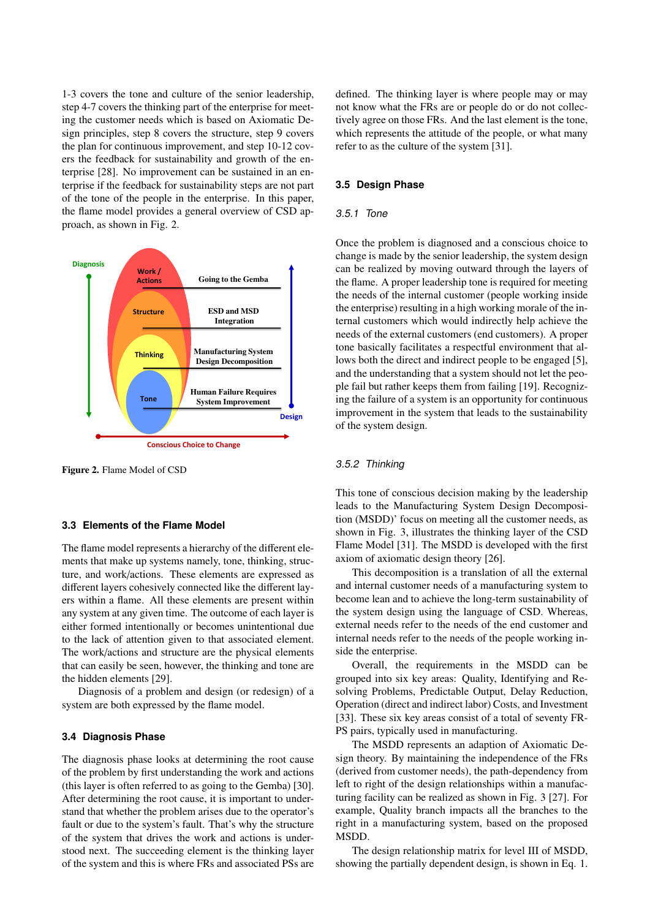1-3 covers the tone and culture of the senior leadership, step 4-7 covers the thinking part of the enterprise for meeting the customer needs which is based on Axiomatic Design principles, step 8 covers the structure, step 9 covers the plan for continuous improvement, and step 10-12 covers the feedback for sustainability and growth of the enterprise [28]. No improvement can be sustained in an enterprise if the feedback for sustainability steps are not part of the tone of the people in the enterprise. In this paper, the flame model provides a general overview of CSD approach, as shown in Fig. 2.



Figure 2. Flame Model of CSD

#### **3.3 Elements of the Flame Model**

The flame model represents a hierarchy of the different elements that make up systems namely, tone, thinking, structure, and work/actions. These elements are expressed as different layers cohesively connected like the different layers within a flame. All these elements are present within any system at any given time. The outcome of each layer is either formed intentionally or becomes unintentional due to the lack of attention given to that associated element. The work/actions and structure are the physical elements that can easily be seen, however, the thinking and tone are the hidden elements [29].

Diagnosis of a problem and design (or redesign) of a system are both expressed by the flame model.

#### **3.4 Diagnosis Phase**

The diagnosis phase looks at determining the root cause of the problem by first understanding the work and actions (this layer is often referred to as going to the Gemba) [30]. After determining the root cause, it is important to understand that whether the problem arises due to the operator's fault or due to the system's fault. That's why the structure of the system that drives the work and actions is understood next. The succeeding element is the thinking layer of the system and this is where FRs and associated PSs are

defined. The thinking layer is where people may or may not know what the FRs are or people do or do not collectively agree on those FRs. And the last element is the tone, which represents the attitude of the people, or what many refer to as the culture of the system [31].

### **3.5 Design Phase**

#### *3.5.1 Tone*

Once the problem is diagnosed and a conscious choice to change is made by the senior leadership, the system design can be realized by moving outward through the layers of the flame. A proper leadership tone is required for meeting the needs of the internal customer (people working inside the enterprise) resulting in a high working morale of the internal customers which would indirectly help achieve the needs of the external customers (end customers). A proper tone basically facilitates a respectful environment that allows both the direct and indirect people to be engaged [5], and the understanding that a system should not let the people fail but rather keeps them from failing [19]. Recognizing the failure of a system is an opportunity for continuous improvement in the system that leads to the sustainability of the system design.

#### *3.5.2 Thinking*

This tone of conscious decision making by the leadership leads to the Manufacturing System Design Decomposition (MSDD)' focus on meeting all the customer needs, as shown in Fig. 3, illustrates the thinking layer of the CSD Flame Model [31]. The MSDD is developed with the first axiom of axiomatic design theory [26].

This decomposition is a translation of all the external and internal customer needs of a manufacturing system to become lean and to achieve the long-term sustainability of the system design using the language of CSD. Whereas, external needs refer to the needs of the end customer and internal needs refer to the needs of the people working inside the enterprise.

Overall, the requirements in the MSDD can be grouped into six key areas: Quality, Identifying and Resolving Problems, Predictable Output, Delay Reduction, Operation (direct and indirect labor) Costs, and Investment [33]. These six key areas consist of a total of seventy FR-PS pairs, typically used in manufacturing.

The MSDD represents an adaption of Axiomatic Design theory. By maintaining the independence of the FRs (derived from customer needs), the path-dependency from left to right of the design relationships within a manufacturing facility can be realized as shown in Fig. 3 [27]. For example, Quality branch impacts all the branches to the right in a manufacturing system, based on the proposed MSDD.

The design relationship matrix for level III of MSDD, showing the partially dependent design, is shown in Eq. 1.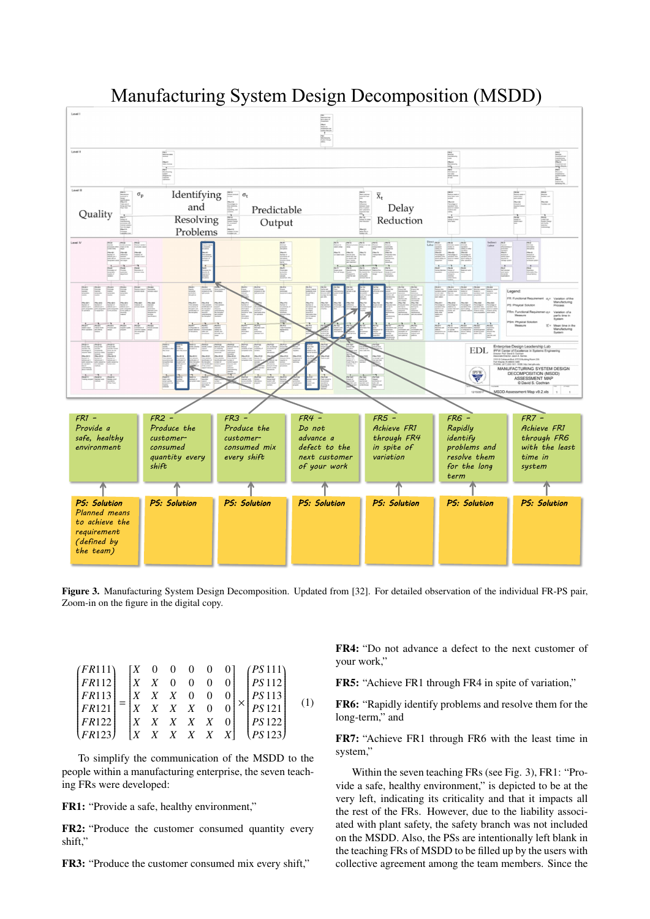

Manufacturing System Design Decomposition (MSDD)

Figure 3. Manufacturing System Design Decomposition. Updated from [32]. For detailed observation of the individual FR-PS pair, Zoom-in on the figure in the digital copy.

$$
\begin{pmatrix}\nFR111 \\
FR112 \\
FR113 \\
FR121 \\
FR122 \\
FR123\n\end{pmatrix} =\n\begin{pmatrix}\nX & 0 & 0 & 0 & 0 & 0 & 0 \\
X & X & 0 & 0 & 0 & 0 \\
X & X & X & X & 0 & 0 \\
X & X & X & X & X & 0 \\
X & X & X & X & X & X\n\end{pmatrix} \times\n\begin{pmatrix}\nPS111 \\
PS112 \\
PS113 \\
PS121 \\
PS121 \\
PS122 \\
PS123\n\end{pmatrix} (1)
$$

To simplify the communication of the MSDD to the people within a manufacturing enterprise, the seven teaching FRs were developed:

FR1: "Provide a safe, healthy environment,"

FR2: "Produce the customer consumed quantity every shift,"

FR3: "Produce the customer consumed mix every shift,"

FR4: "Do not advance a defect to the next customer of your work,"

FR5: "Achieve FR1 through FR4 in spite of variation,"

FR6: "Rapidly identify problems and resolve them for the long-term," and

FR7: "Achieve FR1 through FR6 with the least time in system,"

Within the seven teaching FRs (see Fig. 3), FR1: "Provide a safe, healthy environment," is depicted to be at the very left, indicating its criticality and that it impacts all the rest of the FRs. However, due to the liability associated with plant safety, the safety branch was not included on the MSDD. Also, the PSs are intentionally left blank in the teaching FRs of MSDD to be filled up by the users with collective agreement among the team members. Since the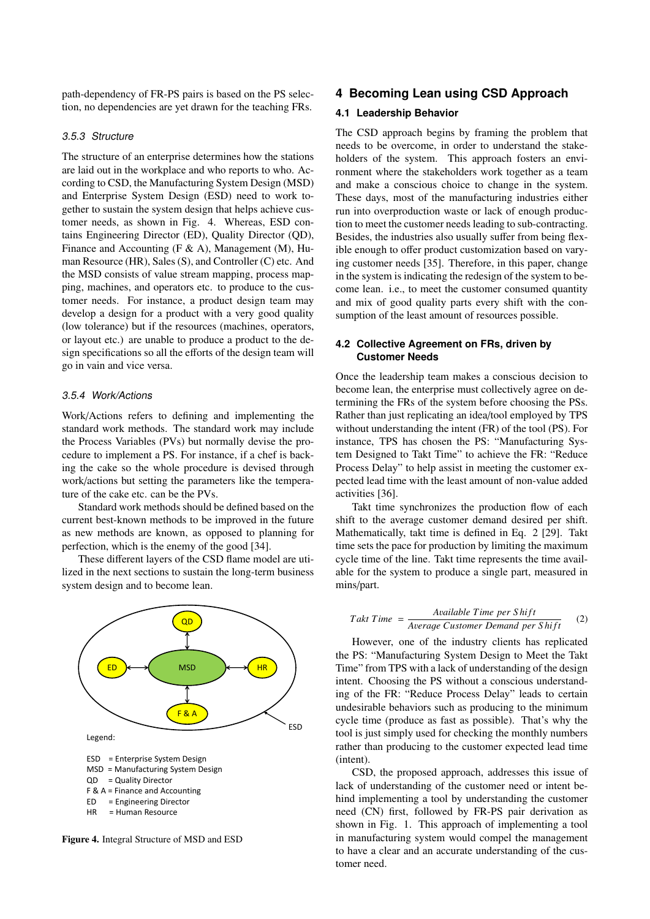path-dependency of FR-PS pairs is based on the PS selection, no dependencies are yet drawn for the teaching FRs.

### *3.5.3 Structure*

The structure of an enterprise determines how the stations are laid out in the workplace and who reports to who. According to CSD, the Manufacturing System Design (MSD) and Enterprise System Design (ESD) need to work together to sustain the system design that helps achieve customer needs, as shown in Fig. 4. Whereas, ESD contains Engineering Director (ED), Quality Director (QD), Finance and Accounting (F & A), Management (M), Human Resource (HR), Sales (S), and Controller (C) etc. And the MSD consists of value stream mapping, process mapping, machines, and operators etc. to produce to the customer needs. For instance, a product design team may develop a design for a product with a very good quality (low tolerance) but if the resources (machines, operators, or layout etc.) are unable to produce a product to the design specifications so all the efforts of the design team will go in vain and vice versa.

#### *3.5.4 Work/Actions*

Work/Actions refers to defining and implementing the standard work methods. The standard work may include the Process Variables (PVs) but normally devise the procedure to implement a PS. For instance, if a chef is backing the cake so the whole procedure is devised through work/actions but setting the parameters like the temperature of the cake etc. can be the PVs.

Standard work methods should be defined based on the current best-known methods to be improved in the future as new methods are known, as opposed to planning for perfection, which is the enemy of the good [34].

These different layers of the CSD flame model are utilized in the next sections to sustain the long-term business system design and to become lean.



Figure 4. Integral Structure of MSD and ESD

# **4 Becoming Lean using CSD Approach**

### **4.1 Leadership Behavior**

The CSD approach begins by framing the problem that needs to be overcome, in order to understand the stakeholders of the system. This approach fosters an environment where the stakeholders work together as a team and make a conscious choice to change in the system. These days, most of the manufacturing industries either run into overproduction waste or lack of enough production to meet the customer needs leading to sub-contracting. Besides, the industries also usually suffer from being flexible enough to offer product customization based on varying customer needs [35]. Therefore, in this paper, change in the system is indicating the redesign of the system to become lean. i.e., to meet the customer consumed quantity and mix of good quality parts every shift with the consumption of the least amount of resources possible.

### **4.2 Collective Agreement on FRs, driven by Customer Needs**

Once the leadership team makes a conscious decision to become lean, the enterprise must collectively agree on determining the FRs of the system before choosing the PSs. Rather than just replicating an idea/tool employed by TPS without understanding the intent (FR) of the tool (PS). For instance, TPS has chosen the PS: "Manufacturing System Designed to Takt Time" to achieve the FR: "Reduce Process Delay" to help assist in meeting the customer expected lead time with the least amount of non-value added activities [36].

Takt time synchronizes the production flow of each shift to the average customer demand desired per shift. Mathematically, takt time is defined in Eq. 2 [29]. Takt time sets the pace for production by limiting the maximum cycle time of the line. Takt time represents the time available for the system to produce a single part, measured in mins/part.

$$
Takt Time = \frac{Available Time per Shift}{Average Customer Demand per Shift} \qquad (2)
$$

However, one of the industry clients has replicated the PS: "Manufacturing System Design to Meet the Takt Time" from TPS with a lack of understanding of the design intent. Choosing the PS without a conscious understanding of the FR: "Reduce Process Delay" leads to certain undesirable behaviors such as producing to the minimum cycle time (produce as fast as possible). That's why the tool is just simply used for checking the monthly numbers rather than producing to the customer expected lead time (intent).

CSD, the proposed approach, addresses this issue of lack of understanding of the customer need or intent behind implementing a tool by understanding the customer need (CN) first, followed by FR-PS pair derivation as shown in Fig. 1. This approach of implementing a tool in manufacturing system would compel the management to have a clear and an accurate understanding of the customer need.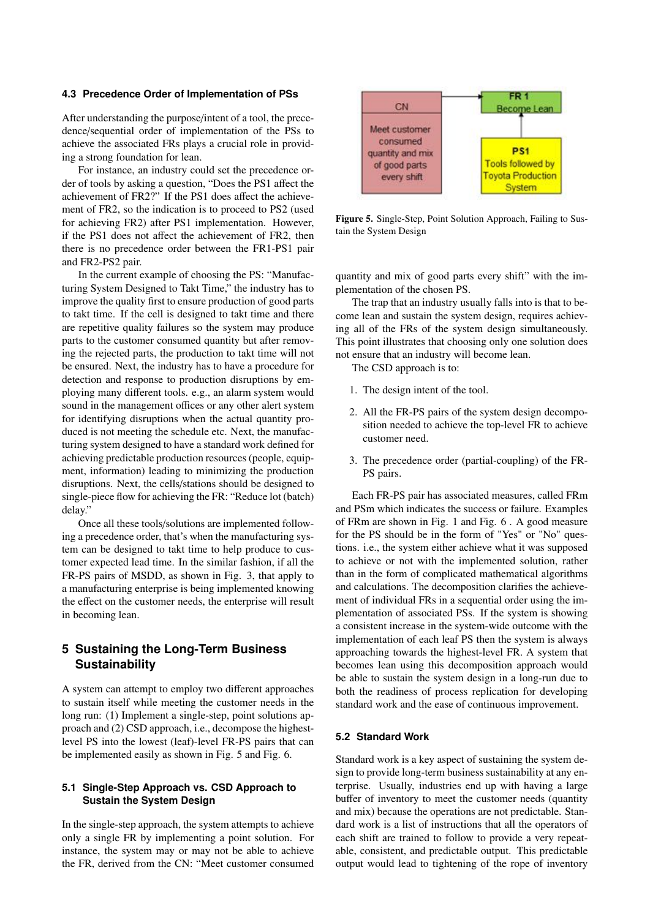#### **4.3 Precedence Order of Implementation of PSs**

After understanding the purpose/intent of a tool, the precedence/sequential order of implementation of the PSs to achieve the associated FRs plays a crucial role in providing a strong foundation for lean.

For instance, an industry could set the precedence order of tools by asking a question, "Does the PS1 affect the achievement of FR2?" If the PS1 does affect the achievement of FR2, so the indication is to proceed to PS2 (used for achieving FR2) after PS1 implementation. However, if the PS1 does not affect the achievement of FR2, then there is no precedence order between the FR1-PS1 pair and FR2-PS2 pair.

In the current example of choosing the PS: "Manufacturing System Designed to Takt Time," the industry has to improve the quality first to ensure production of good parts to takt time. If the cell is designed to takt time and there are repetitive quality failures so the system may produce parts to the customer consumed quantity but after removing the rejected parts, the production to takt time will not be ensured. Next, the industry has to have a procedure for detection and response to production disruptions by employing many different tools. e.g., an alarm system would sound in the management offices or any other alert system for identifying disruptions when the actual quantity produced is not meeting the schedule etc. Next, the manufacturing system designed to have a standard work defined for achieving predictable production resources (people, equipment, information) leading to minimizing the production disruptions. Next, the cells/stations should be designed to single-piece flow for achieving the FR: "Reduce lot (batch) delay."

Once all these tools/solutions are implemented following a precedence order, that's when the manufacturing system can be designed to takt time to help produce to customer expected lead time. In the similar fashion, if all the FR-PS pairs of MSDD, as shown in Fig. 3, that apply to a manufacturing enterprise is being implemented knowing the effect on the customer needs, the enterprise will result in becoming lean.

# **5 Sustaining the Long-Term Business Sustainability**

A system can attempt to employ two different approaches to sustain itself while meeting the customer needs in the long run: (1) Implement a single-step, point solutions approach and (2) CSD approach, i.e., decompose the highestlevel PS into the lowest (leaf)-level FR-PS pairs that can be implemented easily as shown in Fig. 5 and Fig. 6.

### **5.1 Single-Step Approach vs. CSD Approach to Sustain the System Design**

In the single-step approach, the system attempts to achieve only a single FR by implementing a point solution. For instance, the system may or may not be able to achieve the FR, derived from the CN: "Meet customer consumed



Figure 5. Single-Step, Point Solution Approach, Failing to Sustain the System Design

quantity and mix of good parts every shift" with the implementation of the chosen PS.

The trap that an industry usually falls into is that to become lean and sustain the system design, requires achieving all of the FRs of the system design simultaneously. This point illustrates that choosing only one solution does not ensure that an industry will become lean.

The CSD approach is to:

- 1. The design intent of the tool.
- 2. All the FR-PS pairs of the system design decomposition needed to achieve the top-level FR to achieve customer need.
- 3. The precedence order (partial-coupling) of the FR-PS pairs.

Each FR-PS pair has associated measures, called FRm and PSm which indicates the success or failure. Examples of FRm are shown in Fig. 1 and Fig. 6 . A good measure for the PS should be in the form of "Yes" or "No" questions. i.e., the system either achieve what it was supposed to achieve or not with the implemented solution, rather than in the form of complicated mathematical algorithms and calculations. The decomposition clarifies the achievement of individual FRs in a sequential order using the implementation of associated PSs. If the system is showing a consistent increase in the system-wide outcome with the implementation of each leaf PS then the system is always approaching towards the highest-level FR. A system that becomes lean using this decomposition approach would be able to sustain the system design in a long-run due to both the readiness of process replication for developing standard work and the ease of continuous improvement.

### **5.2 Standard Work**

Standard work is a key aspect of sustaining the system design to provide long-term business sustainability at any enterprise. Usually, industries end up with having a large buffer of inventory to meet the customer needs (quantity and mix) because the operations are not predictable. Standard work is a list of instructions that all the operators of each shift are trained to follow to provide a very repeatable, consistent, and predictable output. This predictable output would lead to tightening of the rope of inventory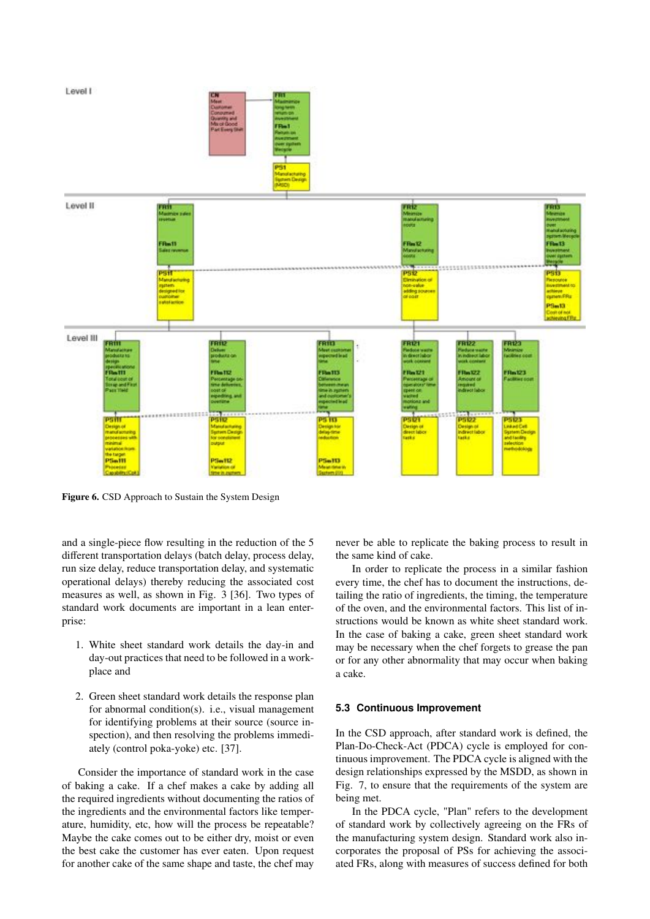

Figure 6. CSD Approach to Sustain the System Design

and a single-piece flow resulting in the reduction of the 5 different transportation delays (batch delay, process delay, run size delay, reduce transportation delay, and systematic operational delays) thereby reducing the associated cost measures as well, as shown in Fig. 3 [36]. Two types of standard work documents are important in a lean enterprise:

- 1. White sheet standard work details the day-in and day-out practices that need to be followed in a workplace and
- 2. Green sheet standard work details the response plan for abnormal condition(s). i.e., visual management for identifying problems at their source (source inspection), and then resolving the problems immediately (control poka-yoke) etc. [37].

Consider the importance of standard work in the case of baking a cake. If a chef makes a cake by adding all the required ingredients without documenting the ratios of the ingredients and the environmental factors like temperature, humidity, etc, how will the process be repeatable? Maybe the cake comes out to be either dry, moist or even the best cake the customer has ever eaten. Upon request for another cake of the same shape and taste, the chef may

never be able to replicate the baking process to result in the same kind of cake.

In order to replicate the process in a similar fashion every time, the chef has to document the instructions, detailing the ratio of ingredients, the timing, the temperature of the oven, and the environmental factors. This list of instructions would be known as white sheet standard work. In the case of baking a cake, green sheet standard work may be necessary when the chef forgets to grease the pan or for any other abnormality that may occur when baking a cake.

#### **5.3 Continuous Improvement**

In the CSD approach, after standard work is defined, the Plan-Do-Check-Act (PDCA) cycle is employed for continuous improvement. The PDCA cycle is aligned with the design relationships expressed by the MSDD, as shown in Fig. 7, to ensure that the requirements of the system are being met.

In the PDCA cycle, "Plan" refers to the development of standard work by collectively agreeing on the FRs of the manufacturing system design. Standard work also incorporates the proposal of PSs for achieving the associated FRs, along with measures of success defined for both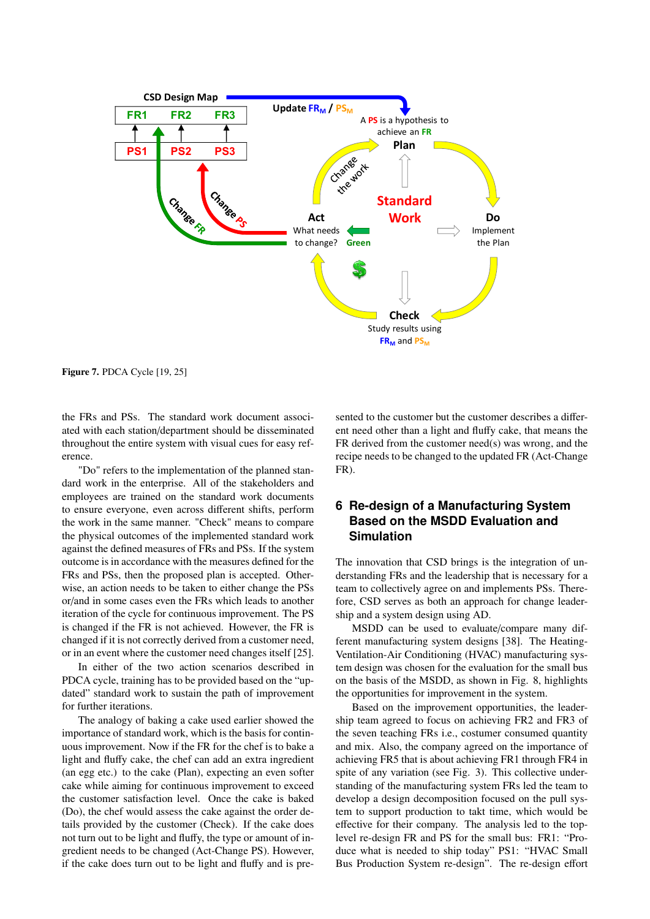



the FRs and PSs. The standard work document associated with each station/department should be disseminated throughout the entire system with visual cues for easy reference.

"Do" refers to the implementation of the planned standard work in the enterprise. All of the stakeholders and employees are trained on the standard work documents to ensure everyone, even across different shifts, perform the work in the same manner. "Check" means to compare the physical outcomes of the implemented standard work against the defined measures of FRs and PSs. If the system outcome is in accordance with the measures defined for the FRs and PSs, then the proposed plan is accepted. Otherwise, an action needs to be taken to either change the PSs or/and in some cases even the FRs which leads to another iteration of the cycle for continuous improvement. The PS is changed if the FR is not achieved. However, the FR is changed if it is not correctly derived from a customer need, or in an event where the customer need changes itself [25].

In either of the two action scenarios described in PDCA cycle, training has to be provided based on the "updated" standard work to sustain the path of improvement for further iterations.

The analogy of baking a cake used earlier showed the importance of standard work, which is the basis for continuous improvement. Now if the FR for the chef is to bake a light and fluffy cake, the chef can add an extra ingredient (an egg etc.) to the cake (Plan), expecting an even softer cake while aiming for continuous improvement to exceed the customer satisfaction level. Once the cake is baked (Do), the chef would assess the cake against the order details provided by the customer (Check). If the cake does not turn out to be light and fluffy, the type or amount of ingredient needs to be changed (Act-Change PS). However, if the cake does turn out to be light and fluffy and is pre-

sented to the customer but the customer describes a different need other than a light and fluffy cake, that means the FR derived from the customer need(s) was wrong, and the recipe needs to be changed to the updated FR (Act-Change FR).

# **6 Re-design of a Manufacturing System Based on the MSDD Evaluation and Simulation**

The innovation that CSD brings is the integration of understanding FRs and the leadership that is necessary for a team to collectively agree on and implements PSs. Therefore, CSD serves as both an approach for change leadership and a system design using AD.

MSDD can be used to evaluate/compare many different manufacturing system designs [38]. The Heating-Ventilation-Air Conditioning (HVAC) manufacturing system design was chosen for the evaluation for the small bus on the basis of the MSDD, as shown in Fig. 8, highlights the opportunities for improvement in the system.

Based on the improvement opportunities, the leadership team agreed to focus on achieving FR2 and FR3 of the seven teaching FRs i.e., costumer consumed quantity and mix. Also, the company agreed on the importance of achieving FR5 that is about achieving FR1 through FR4 in spite of any variation (see Fig. 3). This collective understanding of the manufacturing system FRs led the team to develop a design decomposition focused on the pull system to support production to takt time, which would be effective for their company. The analysis led to the toplevel re-design FR and PS for the small bus: FR1: "Produce what is needed to ship today" PS1: "HVAC Small Bus Production System re-design". The re-design effort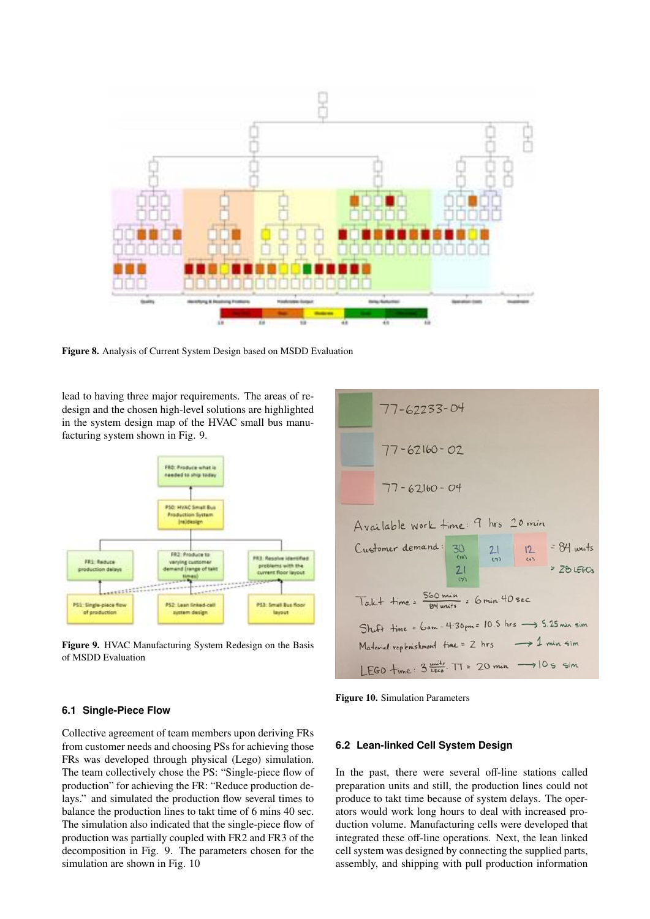

Figure 8. Analysis of Current System Design based on MSDD Evaluation

lead to having three major requirements. The areas of redesign and the chosen high-level solutions are highlighted in the system design map of the HVAC small bus manufacturing system shown in Fig. 9.



Figure 9. HVAC Manufacturing System Redesign on the Basis of MSDD Evaluation



Figure 10. Simulation Parameters

### **6.1 Single-Piece Flow**

Collective agreement of team members upon deriving FRs from customer needs and choosing PSs for achieving those FRs was developed through physical (Lego) simulation. The team collectively chose the PS: "Single-piece flow of production" for achieving the FR: "Reduce production delays." and simulated the production flow several times to balance the production lines to takt time of 6 mins 40 sec. The simulation also indicated that the single-piece flow of production was partially coupled with FR2 and FR3 of the decomposition in Fig. 9. The parameters chosen for the simulation are shown in Fig. 10

### **6.2 Lean-linked Cell System Design**

In the past, there were several off-line stations called preparation units and still, the production lines could not produce to takt time because of system delays. The operators would work long hours to deal with increased production volume. Manufacturing cells were developed that integrated these off-line operations. Next, the lean linked cell system was designed by connecting the supplied parts, assembly, and shipping with pull production information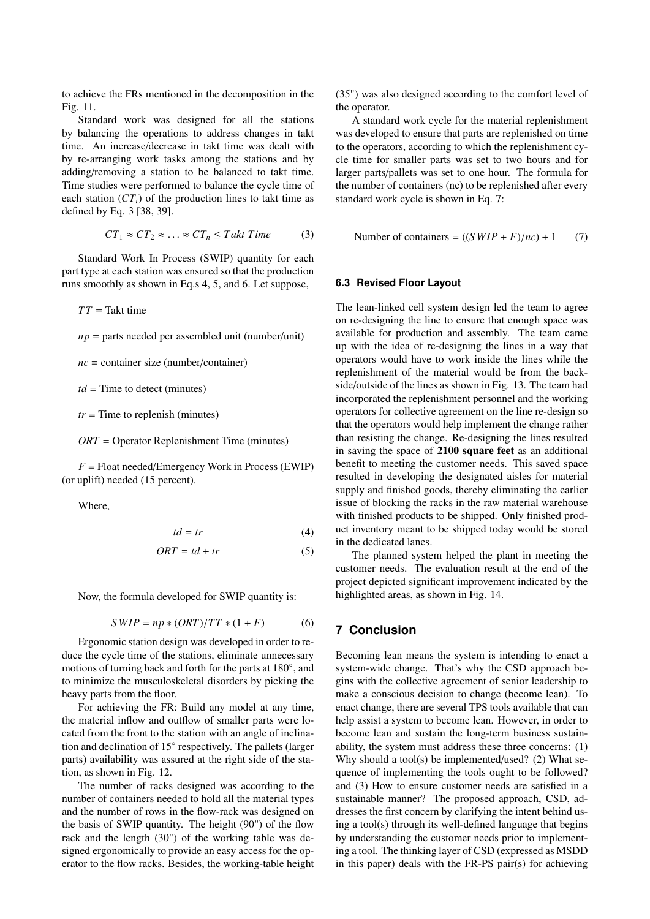to achieve the FRs mentioned in the decomposition in the Fig. 11.

Standard work was designed for all the stations by balancing the operations to address changes in takt time. An increase/decrease in takt time was dealt with by re-arranging work tasks among the stations and by adding/removing a station to be balanced to takt time. Time studies were performed to balance the cycle time of each station  $(CT_i)$  of the production lines to takt time as defined by Eq. 3 [38, 39].

$$
CT_1 \approx CT_2 \approx \ldots \approx CT_n \leq Takt \ Time \tag{3}
$$

Standard Work In Process (SWIP) quantity for each part type at each station was ensured so that the production runs smoothly as shown in Eq.s 4, 5, and 6. Let suppose,

*T T* = Takt time

 $np =$  parts needed per assembled unit (number/unit)

*nc* = container size (number/container)

 $td =$  Time to detect (minutes)

 $tr =$ Time to replenish (minutes)

*ORT* = Operator Replenishment Time (minutes)

 $F =$  Float needed/Emergency Work in Process (EWIP) (or uplift) needed (15 percent).

Where,

$$
td = tr \tag{4}
$$

$$
ORT = td + tr \tag{5}
$$

Now, the formula developed for SWIP quantity is:

$$
SWIP = np * (ORT) / TT * (1 + F) \tag{6}
$$

Ergonomic station design was developed in order to reduce the cycle time of the stations, eliminate unnecessary motions of turning back and forth for the parts at  $180^{\circ}$ , and to minimize the musculoskeletal disorders by picking the heavy parts from the floor.

For achieving the FR: Build any model at any time, the material inflow and outflow of smaller parts were located from the front to the station with an angle of inclination and declination of  $15^{\circ}$  respectively. The pallets (larger parts) availability was assured at the right side of the station, as shown in Fig. 12.

The number of racks designed was according to the number of containers needed to hold all the material types and the number of rows in the flow-rack was designed on the basis of SWIP quantity. The height (90") of the flow rack and the length (30") of the working table was designed ergonomically to provide an easy access for the operator to the flow racks. Besides, the working-table height (35") was also designed according to the comfort level of the operator.

A standard work cycle for the material replenishment was developed to ensure that parts are replenished on time to the operators, according to which the replenishment cycle time for smaller parts was set to two hours and for larger parts/pallets was set to one hour. The formula for the number of containers (nc) to be replenished after every standard work cycle is shown in Eq. 7:

Number of containers =  $((SWIP + F)/nc) + 1$  (7)

#### **6.3 Revised Floor Layout**

The lean-linked cell system design led the team to agree on re-designing the line to ensure that enough space was available for production and assembly. The team came up with the idea of re-designing the lines in a way that operators would have to work inside the lines while the replenishment of the material would be from the backside/outside of the lines as shown in Fig. 13. The team had incorporated the replenishment personnel and the working operators for collective agreement on the line re-design so that the operators would help implement the change rather than resisting the change. Re-designing the lines resulted in saving the space of 2100 square feet as an additional benefit to meeting the customer needs. This saved space resulted in developing the designated aisles for material supply and finished goods, thereby eliminating the earlier issue of blocking the racks in the raw material warehouse with finished products to be shipped. Only finished product inventory meant to be shipped today would be stored in the dedicated lanes.

The planned system helped the plant in meeting the customer needs. The evaluation result at the end of the project depicted significant improvement indicated by the highlighted areas, as shown in Fig. 14.

# **7 Conclusion**

Becoming lean means the system is intending to enact a system-wide change. That's why the CSD approach begins with the collective agreement of senior leadership to make a conscious decision to change (become lean). To enact change, there are several TPS tools available that can help assist a system to become lean. However, in order to become lean and sustain the long-term business sustainability, the system must address these three concerns: (1) Why should a tool(s) be implemented/used? (2) What sequence of implementing the tools ought to be followed? and (3) How to ensure customer needs are satisfied in a sustainable manner? The proposed approach, CSD, addresses the first concern by clarifying the intent behind using a tool(s) through its well-defined language that begins by understanding the customer needs prior to implementing a tool. The thinking layer of CSD (expressed as MSDD in this paper) deals with the FR-PS pair(s) for achieving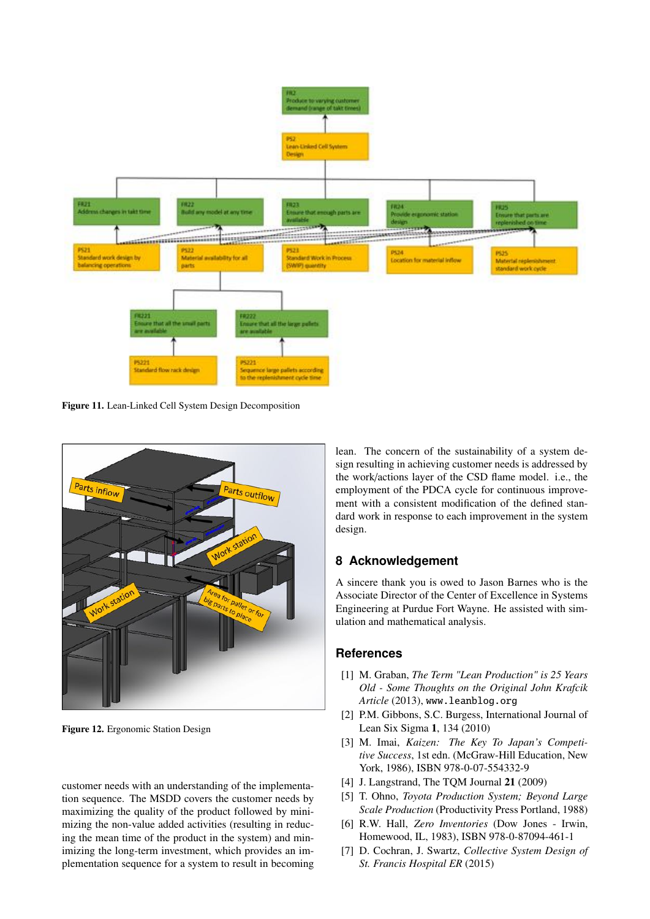

Figure 11. Lean-Linked Cell System Design Decomposition



Figure 12. Ergonomic Station Design

customer needs with an understanding of the implementation sequence. The MSDD covers the customer needs by maximizing the quality of the product followed by minimizing the non-value added activities (resulting in reducing the mean time of the product in the system) and minimizing the long-term investment, which provides an implementation sequence for a system to result in becoming lean. The concern of the sustainability of a system design resulting in achieving customer needs is addressed by the work/actions layer of the CSD flame model. i.e., the employment of the PDCA cycle for continuous improvement with a consistent modification of the defined standard work in response to each improvement in the system design.

## **8 Acknowledgement**

A sincere thank you is owed to Jason Barnes who is the Associate Director of the Center of Excellence in Systems Engineering at Purdue Fort Wayne. He assisted with simulation and mathematical analysis.

# **References**

- [1] M. Graban, *The Term "Lean Production" is 25 Years Old - Some Thoughts on the Original John Krafcik Article* (2013), www.leanblog.org
- [2] P.M. Gibbons, S.C. Burgess, International Journal of Lean Six Sigma 1, 134 (2010)
- [3] M. Imai, *Kaizen: The Key To Japan's Competitive Success*, 1st edn. (McGraw-Hill Education, New York, 1986), ISBN 978-0-07-554332-9
- [4] J. Langstrand, The TQM Journal 21 (2009)
- [5] T. Ohno, *Toyota Production System; Beyond Large Scale Production* (Productivity Press Portland, 1988)
- [6] R.W. Hall, *Zero Inventories* (Dow Jones Irwin, Homewood, IL, 1983), ISBN 978-0-87094-461-1
- [7] D. Cochran, J. Swartz, *Collective System Design of St. Francis Hospital ER* (2015)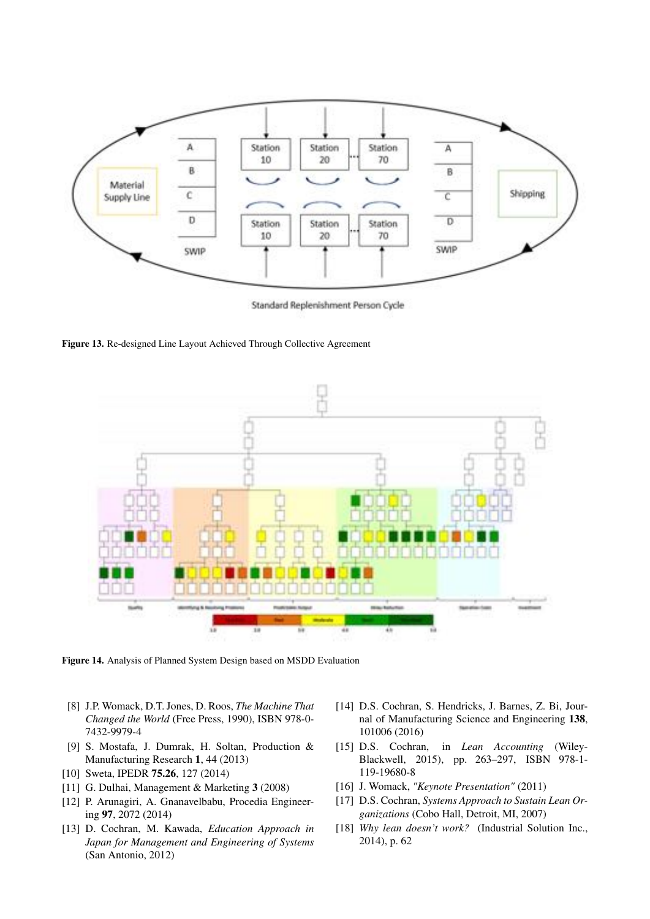

Standard Replenishment Person Cycle

Figure 13. Re-designed Line Layout Achieved Through Collective Agreement



Figure 14. Analysis of Planned System Design based on MSDD Evaluation

- [8] J.P. Womack, D.T. Jones, D. Roos, *The Machine That Changed the World* (Free Press, 1990), ISBN 978-0- 7432-9979-4
- [9] S. Mostafa, J. Dumrak, H. Soltan, Production & Manufacturing Research 1, 44 (2013)
- [10] Sweta, IPEDR 75.26, 127 (2014)
- [11] G. Dulhai, Management & Marketing 3 (2008)
- [12] P. Arunagiri, A. Gnanavelbabu, Procedia Engineering 97, 2072 (2014)
- [13] D. Cochran, M. Kawada, *Education Approach in Japan for Management and Engineering of Systems* (San Antonio, 2012)
- [14] D.S. Cochran, S. Hendricks, J. Barnes, Z. Bi, Journal of Manufacturing Science and Engineering 138, 101006 (2016)
- [15] D.S. Cochran, in *Lean Accounting* (Wiley-Blackwell, 2015), pp. 263–297, ISBN 978-1- 119-19680-8
- [16] J. Womack, *"Keynote Presentation"* (2011)
- [17] D.S. Cochran, *Systems Approach to Sustain Lean Organizations* (Cobo Hall, Detroit, MI, 2007)
- [18] *Why lean doesn't work?* (Industrial Solution Inc., 2014), p. 62